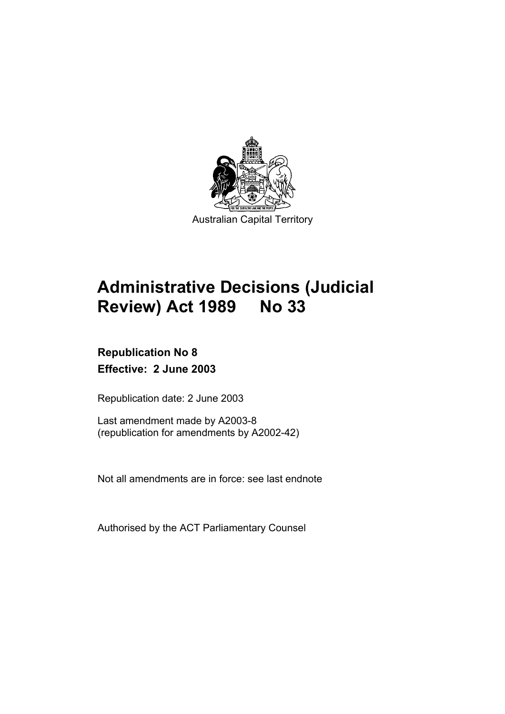

# **Administrative Decisions (Judicial Review) Act 1989 No 33**

# **Republication No 8 Effective: 2 June 2003**

Republication date: 2 June 2003

Last amendment made by A2003-8 (republication for amendments by A2002-42)

Not all amendments are in force: see last endnote

Authorised by the ACT Parliamentary Counsel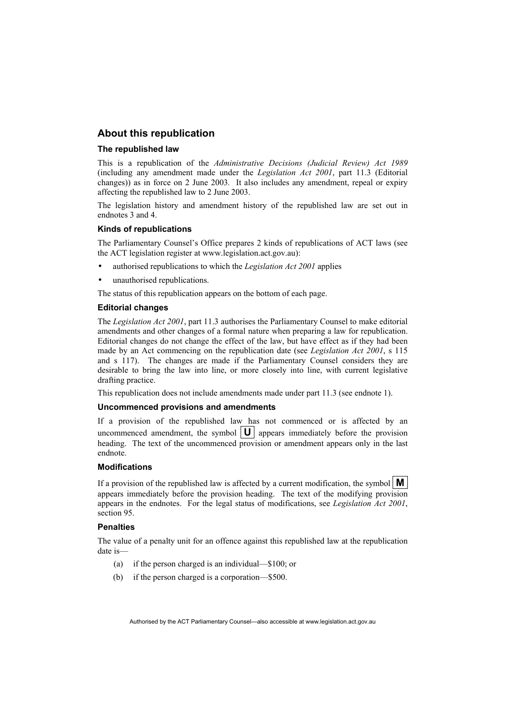# **About this republication**

#### **The republished law**

This is a republication of the *Administrative Decisions (Judicial Review) Act 1989* (including any amendment made under the *Legislation Act 2001*, part 11.3 (Editorial changes)) as in force on 2 June 2003*.* It also includes any amendment, repeal or expiry affecting the republished law to 2 June 2003.

The legislation history and amendment history of the republished law are set out in endnotes 3 and 4.

#### **Kinds of republications**

The Parliamentary Counsel's Office prepares 2 kinds of republications of ACT laws (see the ACT legislation register at www.legislation.act.gov.au):

- authorised republications to which the *Legislation Act 2001* applies
- unauthorised republications.

The status of this republication appears on the bottom of each page.

#### **Editorial changes**

The *Legislation Act 2001*, part 11.3 authorises the Parliamentary Counsel to make editorial amendments and other changes of a formal nature when preparing a law for republication. Editorial changes do not change the effect of the law, but have effect as if they had been made by an Act commencing on the republication date (see *Legislation Act 2001*, s 115 and s 117). The changes are made if the Parliamentary Counsel considers they are desirable to bring the law into line, or more closely into line, with current legislative drafting practice.

This republication does not include amendments made under part 11.3 (see endnote 1).

#### **Uncommenced provisions and amendments**

If a provision of the republished law has not commenced or is affected by an uncommenced amendment, the symbol  $|\mathbf{U}|$  appears immediately before the provision heading. The text of the uncommenced provision or amendment appears only in the last endnote.

#### **Modifications**

If a provision of the republished law is affected by a current modification, the symbol  $\mathbf{M}$ appears immediately before the provision heading. The text of the modifying provision appears in the endnotes. For the legal status of modifications, see *Legislation Act 2001*, section 95.

#### **Penalties**

The value of a penalty unit for an offence against this republished law at the republication date is—

- (a) if the person charged is an individual—\$100; or
- (b) if the person charged is a corporation—\$500.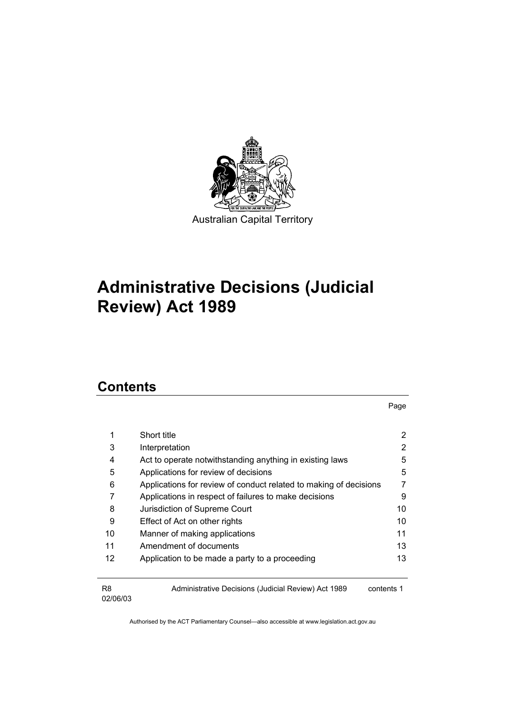

# **Administrative Decisions (Judicial Review) Act 1989**

# **Contents**

R8 02/06/03 Page

| Short title                                                       | 2  |
|-------------------------------------------------------------------|----|
| Interpretation                                                    |    |
| Act to operate notwithstanding anything in existing laws          | 5  |
| Applications for review of decisions                              | 5  |
| Applications for review of conduct related to making of decisions |    |
| Applications in respect of failures to make decisions             | 9  |
| Jurisdiction of Supreme Court                                     | 10 |
| Effect of Act on other rights                                     | 10 |
| Manner of making applications                                     | 11 |
| Amendment of documents                                            | 13 |
| Application to be made a party to a proceeding                    | 13 |
|                                                                   |    |
|                                                                   |    |

Administrative Decisions (Judicial Review) Act 1989 contents 1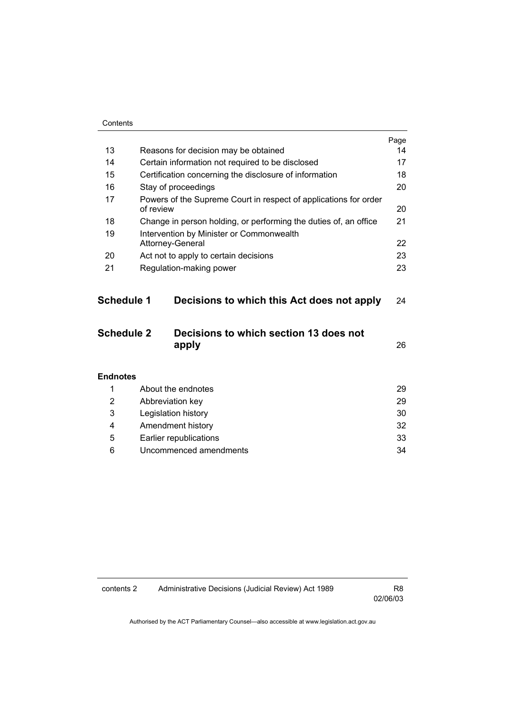|                   |                                                                               | Page |
|-------------------|-------------------------------------------------------------------------------|------|
| 13                | Reasons for decision may be obtained                                          | 14   |
| 14                | Certain information not required to be disclosed                              | 17   |
| 15                | Certification concerning the disclosure of information                        | 18   |
| 16                | Stay of proceedings                                                           | 20   |
| 17                | Powers of the Supreme Court in respect of applications for order<br>of review |      |
| 18                | Change in person holding, or performing the duties of, an office              | 21   |
| 19                | Intervention by Minister or Commonwealth                                      |      |
|                   | Attorney-General                                                              | 22   |
| 20                | Act not to apply to certain decisions                                         | 23   |
| 21                | Regulation-making power                                                       | 23   |
| <b>Schedule 1</b> | Decisions to which this Act does not apply                                    | 24   |
| <b>Schedule 2</b> | Decisions to which section 13 does not<br>apply                               | 26   |
| <b>Endnotes</b>   |                                                                               |      |
| 1                 | About the endnotes                                                            | 29   |
| 2                 | Abbreviation key                                                              | 29   |
| 3                 | Legislation history                                                           | 30   |
| 4                 | Amendment history                                                             | 32   |

 5 Earlier republications 33 6 Uncommenced amendments 34

contents 2 Administrative Decisions (Judicial Review) Act 1989 R8

02/06/03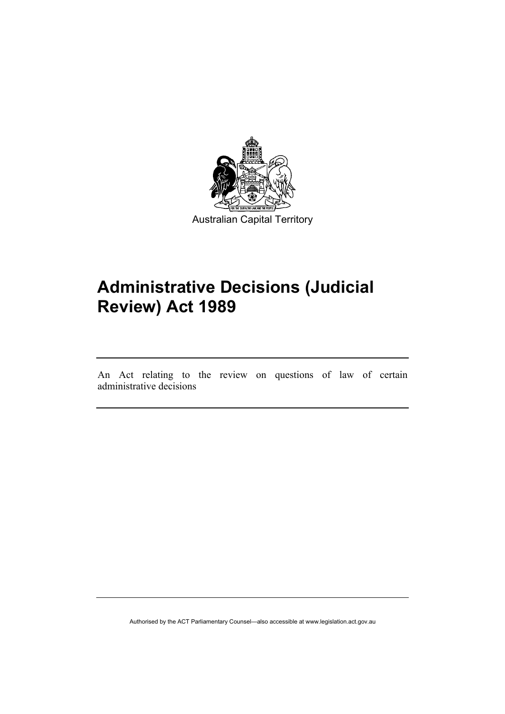

# **Administrative Decisions (Judicial Review) Act 1989**

An Act relating to the review on questions of law of certain administrative decisions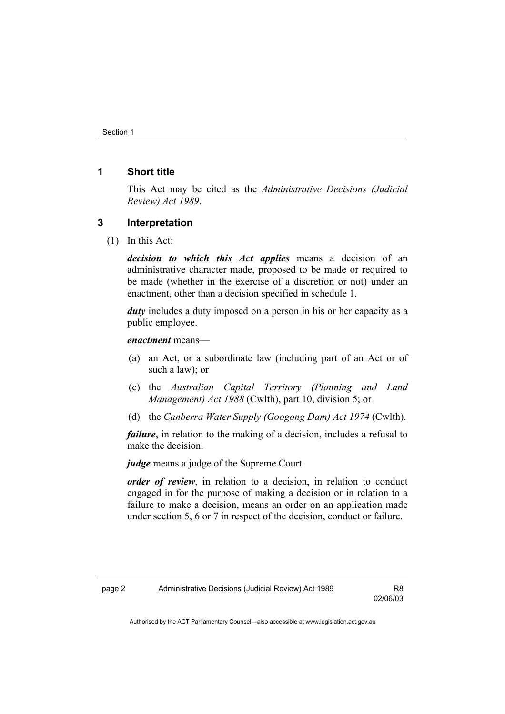# **1 Short title**

This Act may be cited as the *Administrative Decisions (Judicial Review) Act 1989*.

#### **3 Interpretation**

(1) In this Act:

*decision to which this Act applies* means a decision of an administrative character made, proposed to be made or required to be made (whether in the exercise of a discretion or not) under an enactment, other than a decision specified in schedule 1.

*duty* includes a duty imposed on a person in his or her capacity as a public employee.

#### *enactment* means—

- (a) an Act, or a subordinate law (including part of an Act or of such a law); or
- (c) the *Australian Capital Territory (Planning and Land Management) Act 1988* (Cwlth), part 10, division 5; or
- (d) the *Canberra Water Supply (Googong Dam) Act 1974* (Cwlth).

*failure*, in relation to the making of a decision, includes a refusal to make the decision.

*judge* means a judge of the Supreme Court.

*order of review*, in relation to a decision, in relation to conduct engaged in for the purpose of making a decision or in relation to a failure to make a decision, means an order on an application made under section 5, 6 or 7 in respect of the decision, conduct or failure.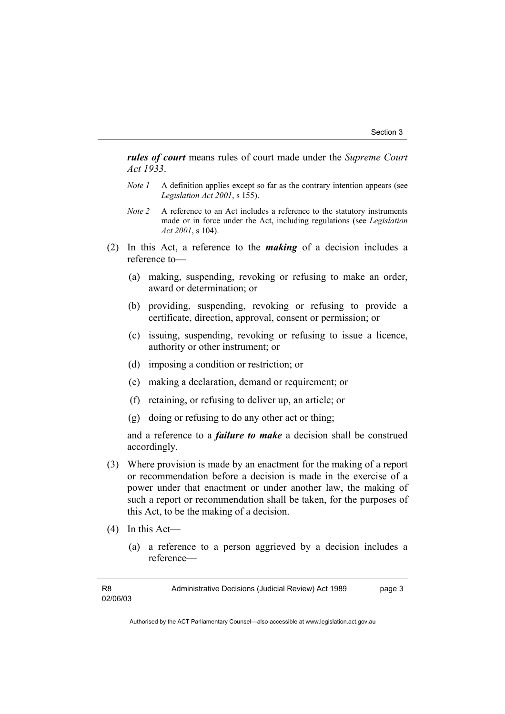*rules of court* means rules of court made under the *Supreme Court Act 1933*.

- *Note 1* A definition applies except so far as the contrary intention appears (see *Legislation Act 2001*, s 155).
- *Note 2* A reference to an Act includes a reference to the statutory instruments made or in force under the Act, including regulations (see *Legislation Act 2001*, s 104).
- (2) In this Act, a reference to the *making* of a decision includes a reference to—
	- (a) making, suspending, revoking or refusing to make an order, award or determination; or
	- (b) providing, suspending, revoking or refusing to provide a certificate, direction, approval, consent or permission; or
	- (c) issuing, suspending, revoking or refusing to issue a licence, authority or other instrument; or
	- (d) imposing a condition or restriction; or
	- (e) making a declaration, demand or requirement; or
	- (f) retaining, or refusing to deliver up, an article; or
	- (g) doing or refusing to do any other act or thing;

and a reference to a *failure to make* a decision shall be construed accordingly.

- (3) Where provision is made by an enactment for the making of a report or recommendation before a decision is made in the exercise of a power under that enactment or under another law, the making of such a report or recommendation shall be taken, for the purposes of this Act, to be the making of a decision.
- (4) In this Act—
	- (a) a reference to a person aggrieved by a decision includes a reference—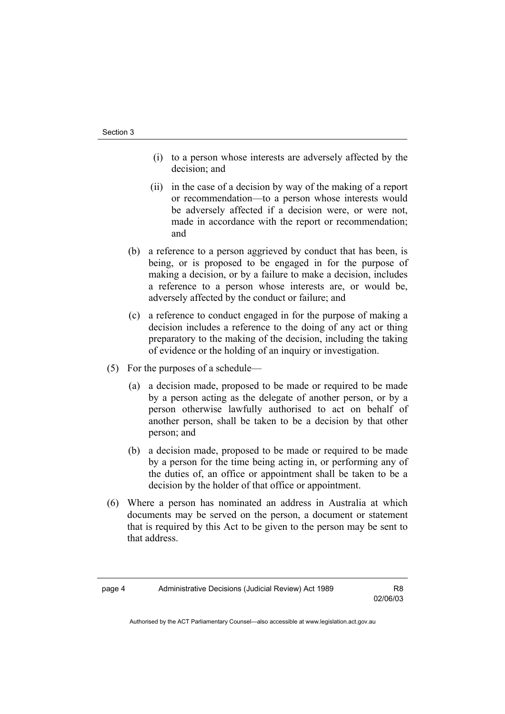- (i) to a person whose interests are adversely affected by the decision; and
- (ii) in the case of a decision by way of the making of a report or recommendation—to a person whose interests would be adversely affected if a decision were, or were not, made in accordance with the report or recommendation; and
- (b) a reference to a person aggrieved by conduct that has been, is being, or is proposed to be engaged in for the purpose of making a decision, or by a failure to make a decision, includes a reference to a person whose interests are, or would be, adversely affected by the conduct or failure; and
- (c) a reference to conduct engaged in for the purpose of making a decision includes a reference to the doing of any act or thing preparatory to the making of the decision, including the taking of evidence or the holding of an inquiry or investigation.
- (5) For the purposes of a schedule—
	- (a) a decision made, proposed to be made or required to be made by a person acting as the delegate of another person, or by a person otherwise lawfully authorised to act on behalf of another person, shall be taken to be a decision by that other person; and
	- (b) a decision made, proposed to be made or required to be made by a person for the time being acting in, or performing any of the duties of, an office or appointment shall be taken to be a decision by the holder of that office or appointment.
- (6) Where a person has nominated an address in Australia at which documents may be served on the person, a document or statement that is required by this Act to be given to the person may be sent to that address.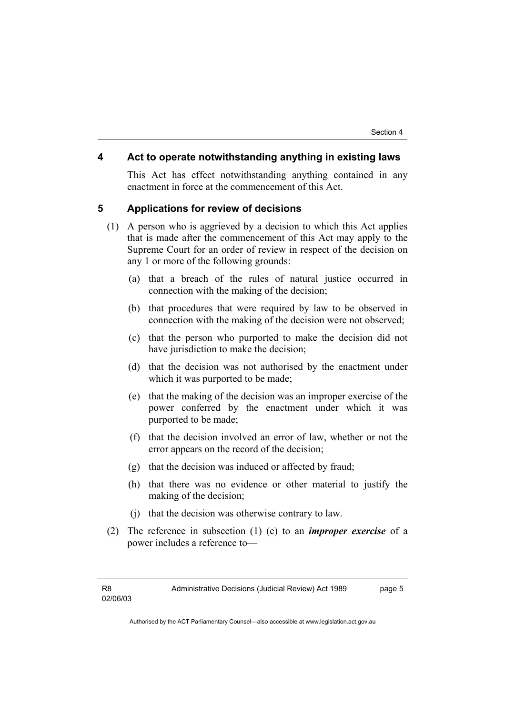### **4 Act to operate notwithstanding anything in existing laws**

This Act has effect notwithstanding anything contained in any enactment in force at the commencement of this Act.

#### **5 Applications for review of decisions**

- (1) A person who is aggrieved by a decision to which this Act applies that is made after the commencement of this Act may apply to the Supreme Court for an order of review in respect of the decision on any 1 or more of the following grounds:
	- (a) that a breach of the rules of natural justice occurred in connection with the making of the decision;
	- (b) that procedures that were required by law to be observed in connection with the making of the decision were not observed;
	- (c) that the person who purported to make the decision did not have jurisdiction to make the decision;
	- (d) that the decision was not authorised by the enactment under which it was purported to be made;
	- (e) that the making of the decision was an improper exercise of the power conferred by the enactment under which it was purported to be made;
	- (f) that the decision involved an error of law, whether or not the error appears on the record of the decision;
	- (g) that the decision was induced or affected by fraud;
	- (h) that there was no evidence or other material to justify the making of the decision;
	- (j) that the decision was otherwise contrary to law.
- (2) The reference in subsection (1) (e) to an *improper exercise* of a power includes a reference to—

Administrative Decisions (Judicial Review) Act 1989 page 5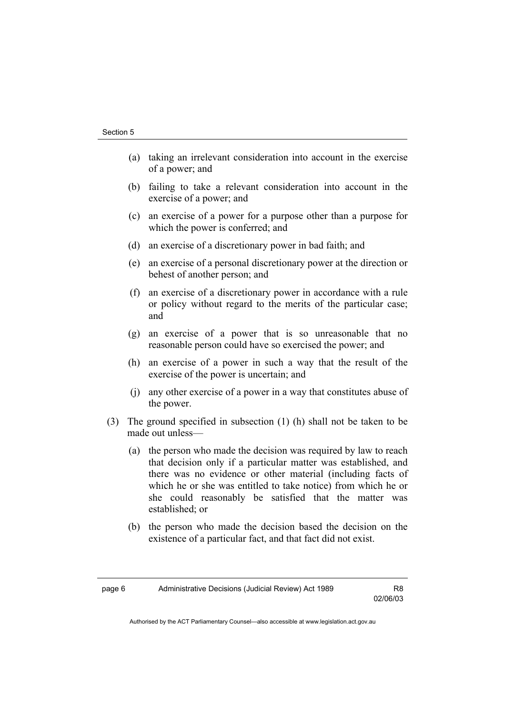- (a) taking an irrelevant consideration into account in the exercise of a power; and
- (b) failing to take a relevant consideration into account in the exercise of a power; and
- (c) an exercise of a power for a purpose other than a purpose for which the power is conferred; and
- (d) an exercise of a discretionary power in bad faith; and
- (e) an exercise of a personal discretionary power at the direction or behest of another person; and
- (f) an exercise of a discretionary power in accordance with a rule or policy without regard to the merits of the particular case; and
- (g) an exercise of a power that is so unreasonable that no reasonable person could have so exercised the power; and
- (h) an exercise of a power in such a way that the result of the exercise of the power is uncertain; and
- (j) any other exercise of a power in a way that constitutes abuse of the power.
- (3) The ground specified in subsection (1) (h) shall not be taken to be made out unless—
	- (a) the person who made the decision was required by law to reach that decision only if a particular matter was established, and there was no evidence or other material (including facts of which he or she was entitled to take notice) from which he or she could reasonably be satisfied that the matter was established; or
	- (b) the person who made the decision based the decision on the existence of a particular fact, and that fact did not exist.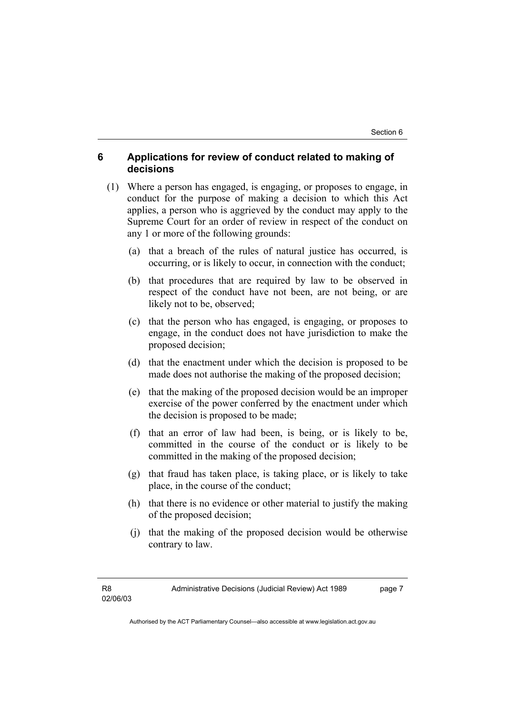# **6 Applications for review of conduct related to making of decisions**

- (1) Where a person has engaged, is engaging, or proposes to engage, in conduct for the purpose of making a decision to which this Act applies, a person who is aggrieved by the conduct may apply to the Supreme Court for an order of review in respect of the conduct on any 1 or more of the following grounds:
	- (a) that a breach of the rules of natural justice has occurred, is occurring, or is likely to occur, in connection with the conduct;
	- (b) that procedures that are required by law to be observed in respect of the conduct have not been, are not being, or are likely not to be, observed;
	- (c) that the person who has engaged, is engaging, or proposes to engage, in the conduct does not have jurisdiction to make the proposed decision;
	- (d) that the enactment under which the decision is proposed to be made does not authorise the making of the proposed decision;
	- (e) that the making of the proposed decision would be an improper exercise of the power conferred by the enactment under which the decision is proposed to be made;
	- (f) that an error of law had been, is being, or is likely to be, committed in the course of the conduct or is likely to be committed in the making of the proposed decision;
	- (g) that fraud has taken place, is taking place, or is likely to take place, in the course of the conduct;
	- (h) that there is no evidence or other material to justify the making of the proposed decision;
	- (j) that the making of the proposed decision would be otherwise contrary to law.

Administrative Decisions (Judicial Review) Act 1989 page 7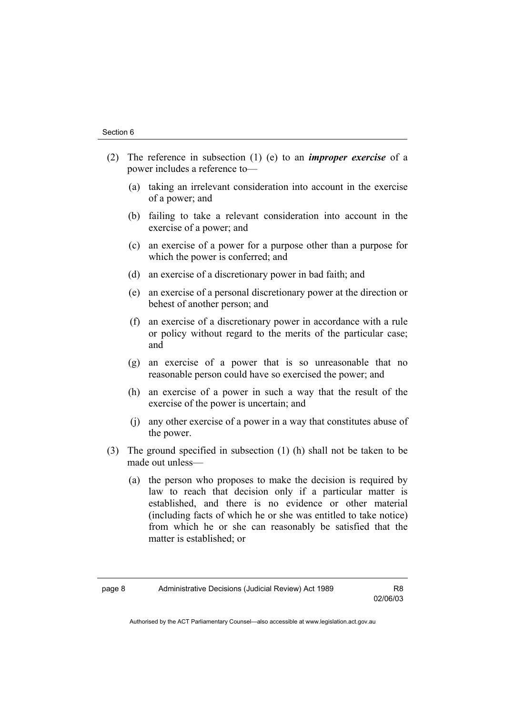- (2) The reference in subsection (1) (e) to an *improper exercise* of a power includes a reference to—
	- (a) taking an irrelevant consideration into account in the exercise of a power; and
	- (b) failing to take a relevant consideration into account in the exercise of a power; and
	- (c) an exercise of a power for a purpose other than a purpose for which the power is conferred; and
	- (d) an exercise of a discretionary power in bad faith; and
	- (e) an exercise of a personal discretionary power at the direction or behest of another person; and
	- (f) an exercise of a discretionary power in accordance with a rule or policy without regard to the merits of the particular case; and
	- (g) an exercise of a power that is so unreasonable that no reasonable person could have so exercised the power; and
	- (h) an exercise of a power in such a way that the result of the exercise of the power is uncertain; and
	- (j) any other exercise of a power in a way that constitutes abuse of the power.
- (3) The ground specified in subsection (1) (h) shall not be taken to be made out unless—
	- (a) the person who proposes to make the decision is required by law to reach that decision only if a particular matter is established, and there is no evidence or other material (including facts of which he or she was entitled to take notice) from which he or she can reasonably be satisfied that the matter is established; or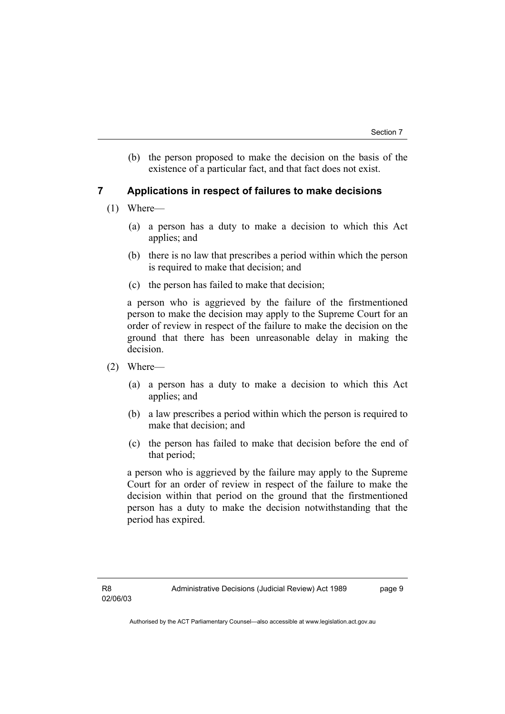(b) the person proposed to make the decision on the basis of the existence of a particular fact, and that fact does not exist.

# **7 Applications in respect of failures to make decisions**

- (1) Where—
	- (a) a person has a duty to make a decision to which this Act applies; and
	- (b) there is no law that prescribes a period within which the person is required to make that decision; and
	- (c) the person has failed to make that decision;

a person who is aggrieved by the failure of the firstmentioned person to make the decision may apply to the Supreme Court for an order of review in respect of the failure to make the decision on the ground that there has been unreasonable delay in making the decision.

- (2) Where—
	- (a) a person has a duty to make a decision to which this Act applies; and
	- (b) a law prescribes a period within which the person is required to make that decision; and
	- (c) the person has failed to make that decision before the end of that period;

a person who is aggrieved by the failure may apply to the Supreme Court for an order of review in respect of the failure to make the decision within that period on the ground that the firstmentioned person has a duty to make the decision notwithstanding that the period has expired.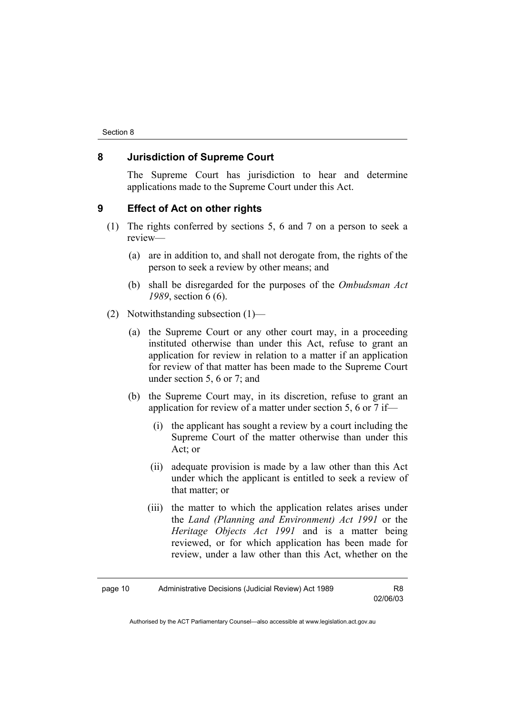### **8 Jurisdiction of Supreme Court**

The Supreme Court has jurisdiction to hear and determine applications made to the Supreme Court under this Act.

## **9 Effect of Act on other rights**

- (1) The rights conferred by sections 5, 6 and 7 on a person to seek a review—
	- (a) are in addition to, and shall not derogate from, the rights of the person to seek a review by other means; and
	- (b) shall be disregarded for the purposes of the *Ombudsman Act 1989*, section 6 (6).
- (2) Notwithstanding subsection (1)—
	- (a) the Supreme Court or any other court may, in a proceeding instituted otherwise than under this Act, refuse to grant an application for review in relation to a matter if an application for review of that matter has been made to the Supreme Court under section 5, 6 or 7; and
	- (b) the Supreme Court may, in its discretion, refuse to grant an application for review of a matter under section 5, 6 or 7 if—
		- (i) the applicant has sought a review by a court including the Supreme Court of the matter otherwise than under this Act; or
		- (ii) adequate provision is made by a law other than this Act under which the applicant is entitled to seek a review of that matter; or
		- (iii) the matter to which the application relates arises under the *Land (Planning and Environment) Act 1991* or the *Heritage Objects Act 1991* and is a matter being reviewed, or for which application has been made for review, under a law other than this Act, whether on the

02/06/03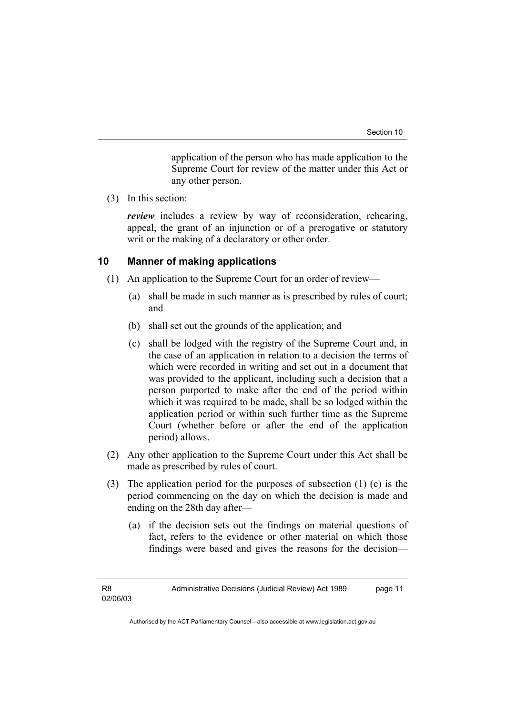application of the person who has made application to the Supreme Court for review of the matter under this Act or any other person.

(3) In this section:

*review* includes a review by way of reconsideration, rehearing, appeal, the grant of an injunction or of a prerogative or statutory writ or the making of a declaratory or other order.

# **10 Manner of making applications**

- (1) An application to the Supreme Court for an order of review—
	- (a) shall be made in such manner as is prescribed by rules of court; and
	- (b) shall set out the grounds of the application; and
	- (c) shall be lodged with the registry of the Supreme Court and, in the case of an application in relation to a decision the terms of which were recorded in writing and set out in a document that was provided to the applicant, including such a decision that a person purported to make after the end of the period within which it was required to be made, shall be so lodged within the application period or within such further time as the Supreme Court (whether before or after the end of the application period) allows.
- (2) Any other application to the Supreme Court under this Act shall be made as prescribed by rules of court.
- (3) The application period for the purposes of subsection (1) (c) is the period commencing on the day on which the decision is made and ending on the 28th day after—
	- (a) if the decision sets out the findings on material questions of fact, refers to the evidence or other material on which those findings were based and gives the reasons for the decision—

Administrative Decisions (Judicial Review) Act 1989 page 11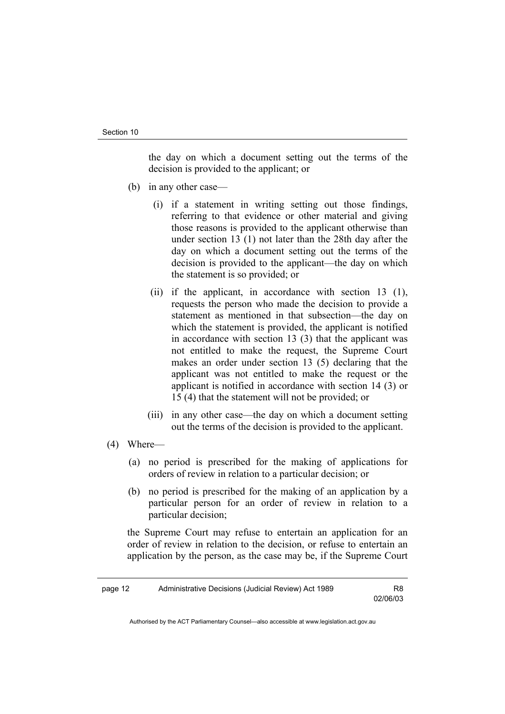the day on which a document setting out the terms of the decision is provided to the applicant; or

- (b) in any other case—
	- (i) if a statement in writing setting out those findings, referring to that evidence or other material and giving those reasons is provided to the applicant otherwise than under section 13 (1) not later than the 28th day after the day on which a document setting out the terms of the decision is provided to the applicant—the day on which the statement is so provided; or
	- (ii) if the applicant, in accordance with section 13 (1), requests the person who made the decision to provide a statement as mentioned in that subsection—the day on which the statement is provided, the applicant is notified in accordance with section 13 (3) that the applicant was not entitled to make the request, the Supreme Court makes an order under section 13 (5) declaring that the applicant was not entitled to make the request or the applicant is notified in accordance with section 14 (3) or 15 (4) that the statement will not be provided; or
	- (iii) in any other case—the day on which a document setting out the terms of the decision is provided to the applicant.
- (4) Where—
	- (a) no period is prescribed for the making of applications for orders of review in relation to a particular decision; or
	- (b) no period is prescribed for the making of an application by a particular person for an order of review in relation to a particular decision;

the Supreme Court may refuse to entertain an application for an order of review in relation to the decision, or refuse to entertain an application by the person, as the case may be, if the Supreme Court

02/06/03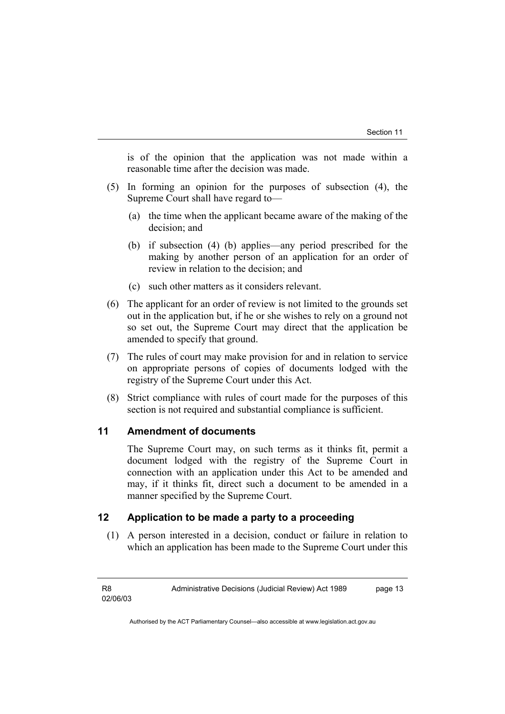is of the opinion that the application was not made within a reasonable time after the decision was made.

- (5) In forming an opinion for the purposes of subsection (4), the Supreme Court shall have regard to—
	- (a) the time when the applicant became aware of the making of the decision; and
	- (b) if subsection (4) (b) applies—any period prescribed for the making by another person of an application for an order of review in relation to the decision; and
	- (c) such other matters as it considers relevant.
- (6) The applicant for an order of review is not limited to the grounds set out in the application but, if he or she wishes to rely on a ground not so set out, the Supreme Court may direct that the application be amended to specify that ground.
- (7) The rules of court may make provision for and in relation to service on appropriate persons of copies of documents lodged with the registry of the Supreme Court under this Act.
- (8) Strict compliance with rules of court made for the purposes of this section is not required and substantial compliance is sufficient.

# **11 Amendment of documents**

The Supreme Court may, on such terms as it thinks fit, permit a document lodged with the registry of the Supreme Court in connection with an application under this Act to be amended and may, if it thinks fit, direct such a document to be amended in a manner specified by the Supreme Court.

# **12 Application to be made a party to a proceeding**

 (1) A person interested in a decision, conduct or failure in relation to which an application has been made to the Supreme Court under this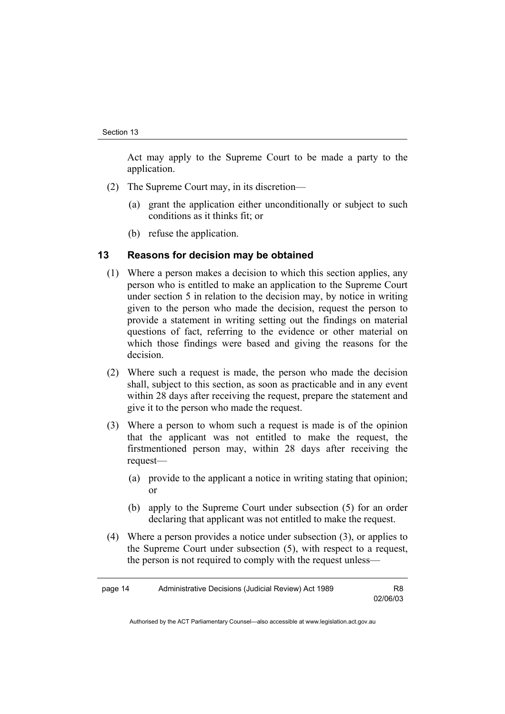Act may apply to the Supreme Court to be made a party to the application.

- (2) The Supreme Court may, in its discretion—
	- (a) grant the application either unconditionally or subject to such conditions as it thinks fit; or
	- (b) refuse the application.

#### **13 Reasons for decision may be obtained**

- (1) Where a person makes a decision to which this section applies, any person who is entitled to make an application to the Supreme Court under section 5 in relation to the decision may, by notice in writing given to the person who made the decision, request the person to provide a statement in writing setting out the findings on material questions of fact, referring to the evidence or other material on which those findings were based and giving the reasons for the decision.
- (2) Where such a request is made, the person who made the decision shall, subject to this section, as soon as practicable and in any event within 28 days after receiving the request, prepare the statement and give it to the person who made the request.
- (3) Where a person to whom such a request is made is of the opinion that the applicant was not entitled to make the request, the firstmentioned person may, within 28 days after receiving the request—
	- (a) provide to the applicant a notice in writing stating that opinion; or
	- (b) apply to the Supreme Court under subsection (5) for an order declaring that applicant was not entitled to make the request.
- (4) Where a person provides a notice under subsection (3), or applies to the Supreme Court under subsection (5), with respect to a request, the person is not required to comply with the request unless—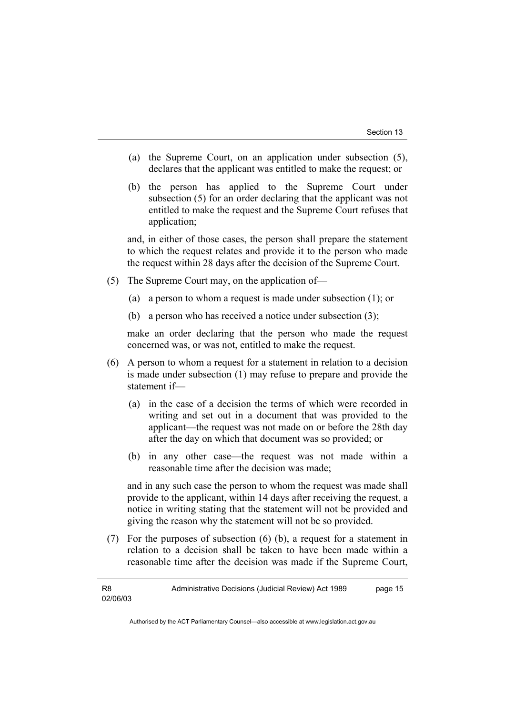- (a) the Supreme Court, on an application under subsection (5), declares that the applicant was entitled to make the request; or
- (b) the person has applied to the Supreme Court under subsection (5) for an order declaring that the applicant was not entitled to make the request and the Supreme Court refuses that application;

and, in either of those cases, the person shall prepare the statement to which the request relates and provide it to the person who made the request within 28 days after the decision of the Supreme Court.

- (5) The Supreme Court may, on the application of—
	- (a) a person to whom a request is made under subsection (1); or
	- (b) a person who has received a notice under subsection (3);

make an order declaring that the person who made the request concerned was, or was not, entitled to make the request.

- (6) A person to whom a request for a statement in relation to a decision is made under subsection (1) may refuse to prepare and provide the statement if—
	- (a) in the case of a decision the terms of which were recorded in writing and set out in a document that was provided to the applicant—the request was not made on or before the 28th day after the day on which that document was so provided; or
	- (b) in any other case—the request was not made within a reasonable time after the decision was made;

and in any such case the person to whom the request was made shall provide to the applicant, within 14 days after receiving the request, a notice in writing stating that the statement will not be provided and giving the reason why the statement will not be so provided.

 (7) For the purposes of subsection (6) (b), a request for a statement in relation to a decision shall be taken to have been made within a reasonable time after the decision was made if the Supreme Court,

R8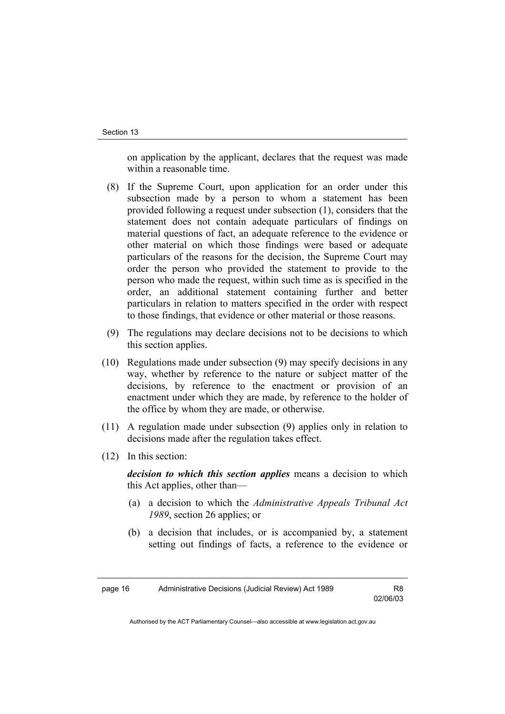on application by the applicant, declares that the request was made within a reasonable time.

- (8) If the Supreme Court, upon application for an order under this subsection made by a person to whom a statement has been provided following a request under subsection (1), considers that the statement does not contain adequate particulars of findings on material questions of fact, an adequate reference to the evidence or other material on which those findings were based or adequate particulars of the reasons for the decision, the Supreme Court may order the person who provided the statement to provide to the person who made the request, within such time as is specified in the order, an additional statement containing further and better particulars in relation to matters specified in the order with respect to those findings, that evidence or other material or those reasons.
- (9) The regulations may declare decisions not to be decisions to which this section applies.
- (10) Regulations made under subsection (9) may specify decisions in any way, whether by reference to the nature or subject matter of the decisions, by reference to the enactment or provision of an enactment under which they are made, by reference to the holder of the office by whom they are made, or otherwise.
- (11) A regulation made under subsection (9) applies only in relation to decisions made after the regulation takes effect.
- (12) In this section:

*decision to which this section applies* means a decision to which this Act applies, other than—

- (a) a decision to which the *Administrative Appeals Tribunal Act 1989*, section 26 applies; or
- (b) a decision that includes, or is accompanied by, a statement setting out findings of facts, a reference to the evidence or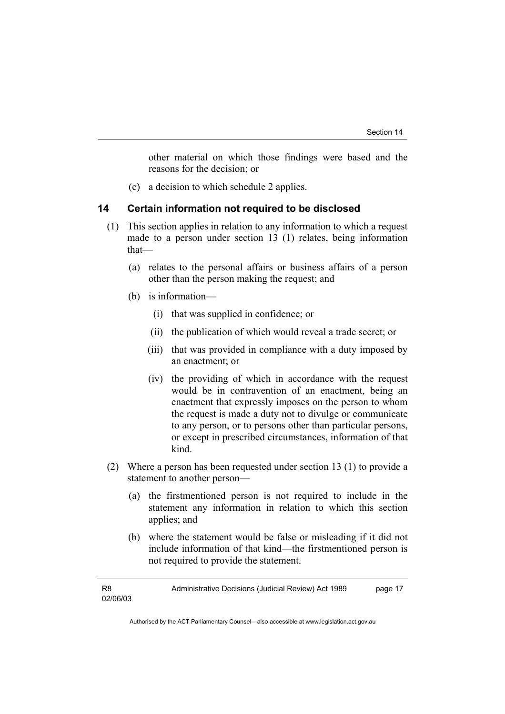other material on which those findings were based and the reasons for the decision; or

(c) a decision to which schedule 2 applies.

#### **14 Certain information not required to be disclosed**

- (1) This section applies in relation to any information to which a request made to a person under section 13 (1) relates, being information that—
	- (a) relates to the personal affairs or business affairs of a person other than the person making the request; and
	- (b) is information—
		- (i) that was supplied in confidence; or
		- (ii) the publication of which would reveal a trade secret; or
		- (iii) that was provided in compliance with a duty imposed by an enactment; or
		- (iv) the providing of which in accordance with the request would be in contravention of an enactment, being an enactment that expressly imposes on the person to whom the request is made a duty not to divulge or communicate to any person, or to persons other than particular persons, or except in prescribed circumstances, information of that kind.
- (2) Where a person has been requested under section 13 (1) to provide a statement to another person—
	- (a) the firstmentioned person is not required to include in the statement any information in relation to which this section applies; and
	- (b) where the statement would be false or misleading if it did not include information of that kind—the firstmentioned person is not required to provide the statement.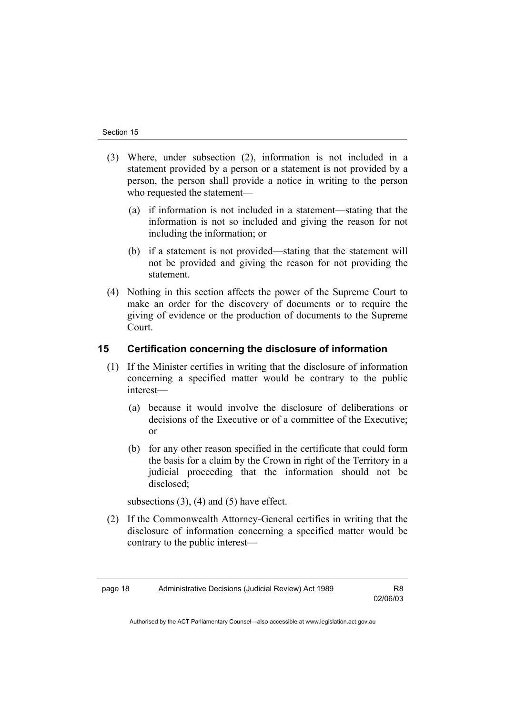- (3) Where, under subsection (2), information is not included in a statement provided by a person or a statement is not provided by a person, the person shall provide a notice in writing to the person who requested the statement—
	- (a) if information is not included in a statement—stating that the information is not so included and giving the reason for not including the information; or
	- (b) if a statement is not provided—stating that the statement will not be provided and giving the reason for not providing the statement.
- (4) Nothing in this section affects the power of the Supreme Court to make an order for the discovery of documents or to require the giving of evidence or the production of documents to the Supreme Court.

# **15 Certification concerning the disclosure of information**

- (1) If the Minister certifies in writing that the disclosure of information concerning a specified matter would be contrary to the public interest—
	- (a) because it would involve the disclosure of deliberations or decisions of the Executive or of a committee of the Executive; or
	- (b) for any other reason specified in the certificate that could form the basis for a claim by the Crown in right of the Territory in a judicial proceeding that the information should not be disclosed;

subsections  $(3)$ ,  $(4)$  and  $(5)$  have effect.

 (2) If the Commonwealth Attorney-General certifies in writing that the disclosure of information concerning a specified matter would be contrary to the public interest—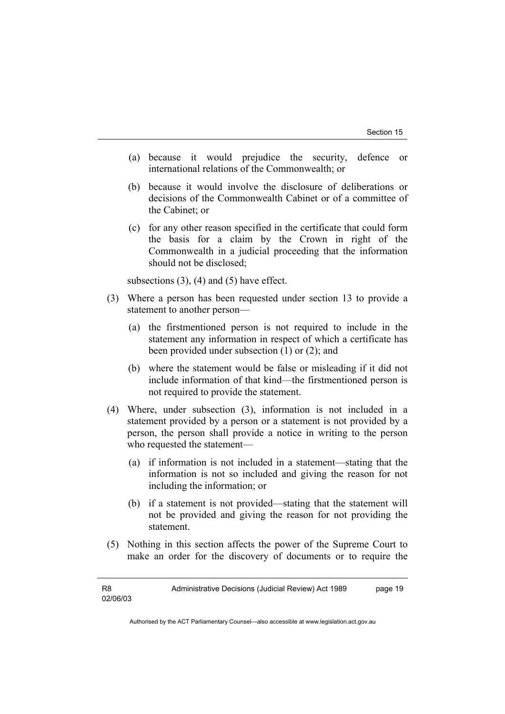- (a) because it would prejudice the security, defence or international relations of the Commonwealth; or
- (b) because it would involve the disclosure of deliberations or decisions of the Commonwealth Cabinet or of a committee of the Cabinet; or
- (c) for any other reason specified in the certificate that could form the basis for a claim by the Crown in right of the Commonwealth in a judicial proceeding that the information should not be disclosed;

subsections  $(3)$ ,  $(4)$  and  $(5)$  have effect.

- (3) Where a person has been requested under section 13 to provide a statement to another person—
	- (a) the firstmentioned person is not required to include in the statement any information in respect of which a certificate has been provided under subsection (1) or (2); and
	- (b) where the statement would be false or misleading if it did not include information of that kind—the firstmentioned person is not required to provide the statement.
- (4) Where, under subsection (3), information is not included in a statement provided by a person or a statement is not provided by a person, the person shall provide a notice in writing to the person who requested the statement—
	- (a) if information is not included in a statement—stating that the information is not so included and giving the reason for not including the information; or
	- (b) if a statement is not provided—stating that the statement will not be provided and giving the reason for not providing the statement.
- (5) Nothing in this section affects the power of the Supreme Court to make an order for the discovery of documents or to require the

Administrative Decisions (Judicial Review) Act 1989 page 19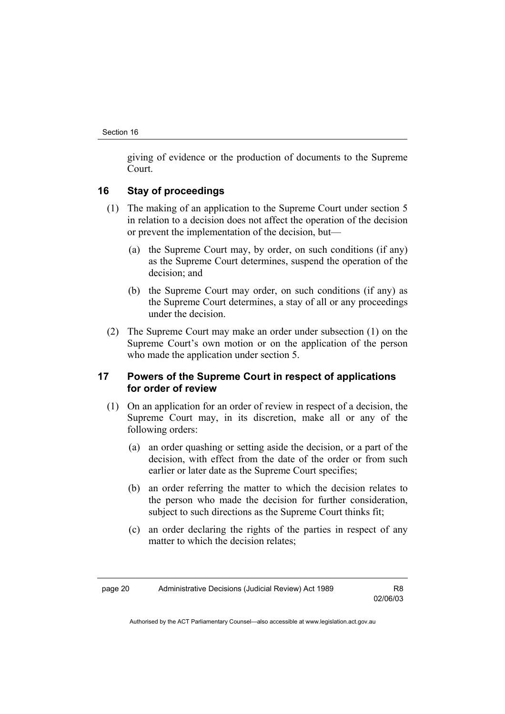giving of evidence or the production of documents to the Supreme Court.

# **16 Stay of proceedings**

- (1) The making of an application to the Supreme Court under section 5 in relation to a decision does not affect the operation of the decision or prevent the implementation of the decision, but—
	- (a) the Supreme Court may, by order, on such conditions (if any) as the Supreme Court determines, suspend the operation of the decision; and
	- (b) the Supreme Court may order, on such conditions (if any) as the Supreme Court determines, a stay of all or any proceedings under the decision.
- (2) The Supreme Court may make an order under subsection (1) on the Supreme Court's own motion or on the application of the person who made the application under section 5.

# **17 Powers of the Supreme Court in respect of applications for order of review**

- (1) On an application for an order of review in respect of a decision, the Supreme Court may, in its discretion, make all or any of the following orders:
	- (a) an order quashing or setting aside the decision, or a part of the decision, with effect from the date of the order or from such earlier or later date as the Supreme Court specifies;
	- (b) an order referring the matter to which the decision relates to the person who made the decision for further consideration, subject to such directions as the Supreme Court thinks fit;
	- (c) an order declaring the rights of the parties in respect of any matter to which the decision relates;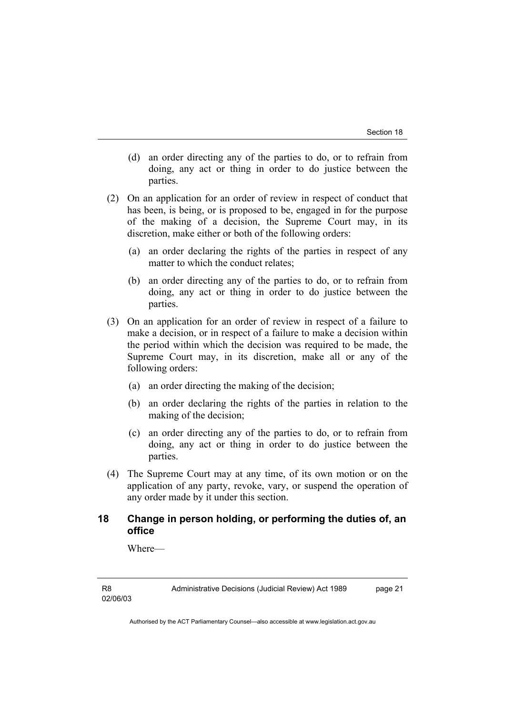- (d) an order directing any of the parties to do, or to refrain from doing, any act or thing in order to do justice between the parties.
- (2) On an application for an order of review in respect of conduct that has been, is being, or is proposed to be, engaged in for the purpose of the making of a decision, the Supreme Court may, in its discretion, make either or both of the following orders:
	- (a) an order declaring the rights of the parties in respect of any matter to which the conduct relates;
	- (b) an order directing any of the parties to do, or to refrain from doing, any act or thing in order to do justice between the parties.
- (3) On an application for an order of review in respect of a failure to make a decision, or in respect of a failure to make a decision within the period within which the decision was required to be made, the Supreme Court may, in its discretion, make all or any of the following orders:
	- (a) an order directing the making of the decision;
	- (b) an order declaring the rights of the parties in relation to the making of the decision;
	- (c) an order directing any of the parties to do, or to refrain from doing, any act or thing in order to do justice between the parties.
- (4) The Supreme Court may at any time, of its own motion or on the application of any party, revoke, vary, or suspend the operation of any order made by it under this section.

# **18 Change in person holding, or performing the duties of, an office**

Where—

Administrative Decisions (Judicial Review) Act 1989 page 21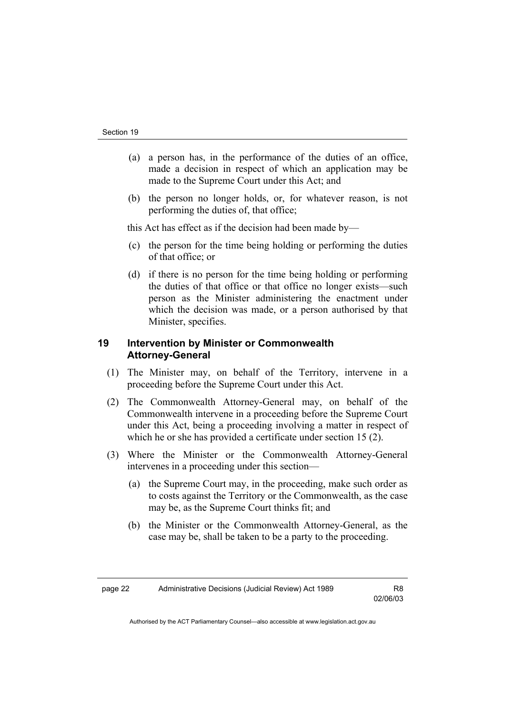- (a) a person has, in the performance of the duties of an office, made a decision in respect of which an application may be made to the Supreme Court under this Act; and
- (b) the person no longer holds, or, for whatever reason, is not performing the duties of, that office;

this Act has effect as if the decision had been made by—

- (c) the person for the time being holding or performing the duties of that office; or
- (d) if there is no person for the time being holding or performing the duties of that office or that office no longer exists—such person as the Minister administering the enactment under which the decision was made, or a person authorised by that Minister, specifies.

# **19 Intervention by Minister or Commonwealth Attorney-General**

- (1) The Minister may, on behalf of the Territory, intervene in a proceeding before the Supreme Court under this Act.
- (2) The Commonwealth Attorney-General may, on behalf of the Commonwealth intervene in a proceeding before the Supreme Court under this Act, being a proceeding involving a matter in respect of which he or she has provided a certificate under section 15 (2).
- (3) Where the Minister or the Commonwealth Attorney-General intervenes in a proceeding under this section—
	- (a) the Supreme Court may, in the proceeding, make such order as to costs against the Territory or the Commonwealth, as the case may be, as the Supreme Court thinks fit; and
	- (b) the Minister or the Commonwealth Attorney-General, as the case may be, shall be taken to be a party to the proceeding.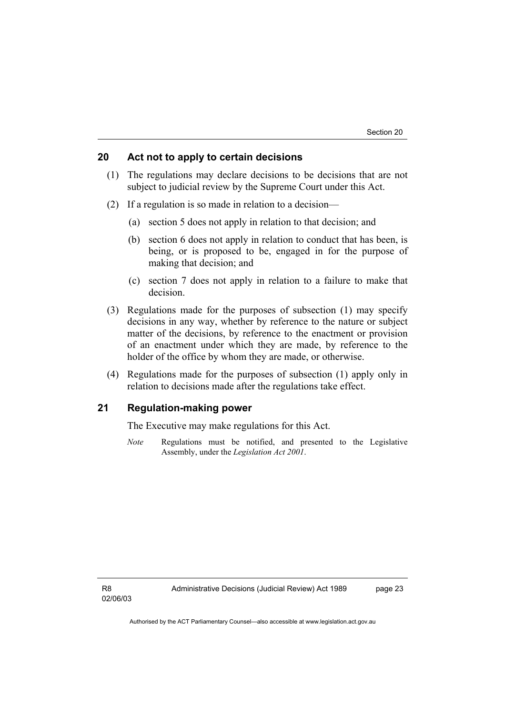# **20 Act not to apply to certain decisions**

- (1) The regulations may declare decisions to be decisions that are not subject to judicial review by the Supreme Court under this Act.
- (2) If a regulation is so made in relation to a decision—
	- (a) section 5 does not apply in relation to that decision; and
	- (b) section 6 does not apply in relation to conduct that has been, is being, or is proposed to be, engaged in for the purpose of making that decision; and
	- (c) section 7 does not apply in relation to a failure to make that decision.
- (3) Regulations made for the purposes of subsection (1) may specify decisions in any way, whether by reference to the nature or subject matter of the decisions, by reference to the enactment or provision of an enactment under which they are made, by reference to the holder of the office by whom they are made, or otherwise.
- (4) Regulations made for the purposes of subsection (1) apply only in relation to decisions made after the regulations take effect.

# **21 Regulation-making power**

The Executive may make regulations for this Act.

*Note* Regulations must be notified, and presented to the Legislative Assembly, under the *Legislation Act 2001*.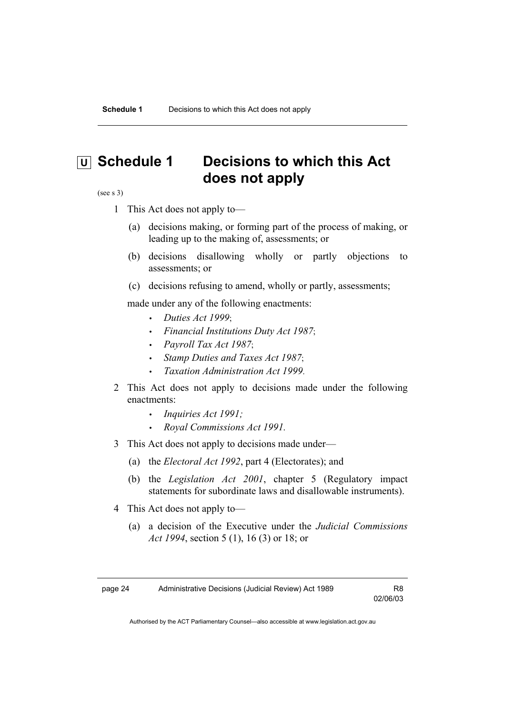# **U** Schedule 1 Decisions to which this Act **does not apply**

(see s 3)

- 1 This Act does not apply to—
	- (a) decisions making, or forming part of the process of making, or leading up to the making of, assessments; or
	- (b) decisions disallowing wholly or partly objections to assessments; or
	- (c) decisions refusing to amend, wholly or partly, assessments;

made under any of the following enactments:

- *Duties Act 1999*;
- *Financial Institutions Duty Act 1987*;
- *Payroll Tax Act 1987*;
- *Stamp Duties and Taxes Act 1987*;
- *Taxation Administration Act 1999*.
- 2 This Act does not apply to decisions made under the following enactments:
	- *Inquiries Act 1991;*
	- *Royal Commissions Act 1991.*
- 3 This Act does not apply to decisions made under—
	- (a) the *Electoral Act 1992*, part 4 (Electorates); and
	- (b) the *Legislation Act 2001*, chapter 5 (Regulatory impact statements for subordinate laws and disallowable instruments).
- 4 This Act does not apply to—
	- (a) a decision of the Executive under the *Judicial Commissions Act 1994*, section 5 (1), 16 (3) or 18; or

02/06/03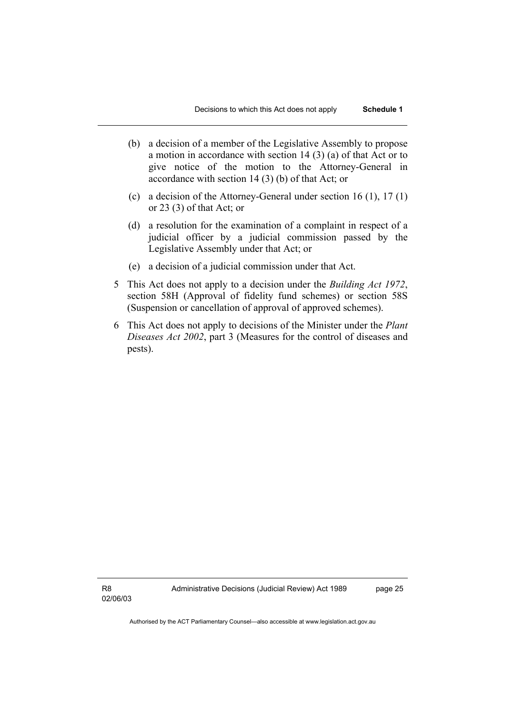- (b) a decision of a member of the Legislative Assembly to propose a motion in accordance with section 14 (3) (a) of that Act or to give notice of the motion to the Attorney-General in accordance with section 14 (3) (b) of that Act; or
- (c) a decision of the Attorney-General under section 16 (1), 17 (1) or 23 (3) of that Act; or
- (d) a resolution for the examination of a complaint in respect of a judicial officer by a judicial commission passed by the Legislative Assembly under that Act; or
- (e) a decision of a judicial commission under that Act.
- 5 This Act does not apply to a decision under the *Building Act 1972*, section 58H (Approval of fidelity fund schemes) or section 58S (Suspension or cancellation of approval of approved schemes).
- 6 This Act does not apply to decisions of the Minister under the *Plant Diseases Act 2002*, part 3 (Measures for the control of diseases and pests).

Administrative Decisions (Judicial Review) Act 1989 page 25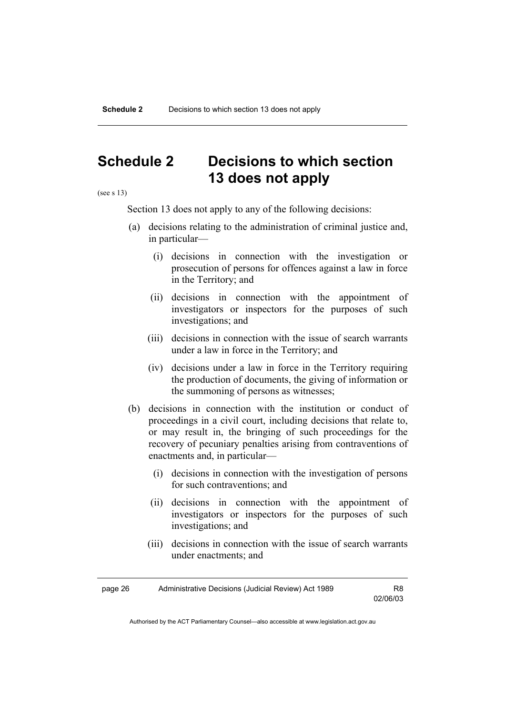# **Schedule 2 Decisions to which section 13 does not apply**

(see s 13)

Section 13 does not apply to any of the following decisions:

- (a) decisions relating to the administration of criminal justice and, in particular—
	- (i) decisions in connection with the investigation or prosecution of persons for offences against a law in force in the Territory; and
	- (ii) decisions in connection with the appointment of investigators or inspectors for the purposes of such investigations; and
	- (iii) decisions in connection with the issue of search warrants under a law in force in the Territory; and
	- (iv) decisions under a law in force in the Territory requiring the production of documents, the giving of information or the summoning of persons as witnesses;
- (b) decisions in connection with the institution or conduct of proceedings in a civil court, including decisions that relate to, or may result in, the bringing of such proceedings for the recovery of pecuniary penalties arising from contraventions of enactments and, in particular—
	- (i) decisions in connection with the investigation of persons for such contraventions; and
	- (ii) decisions in connection with the appointment of investigators or inspectors for the purposes of such investigations; and
	- (iii) decisions in connection with the issue of search warrants under enactments; and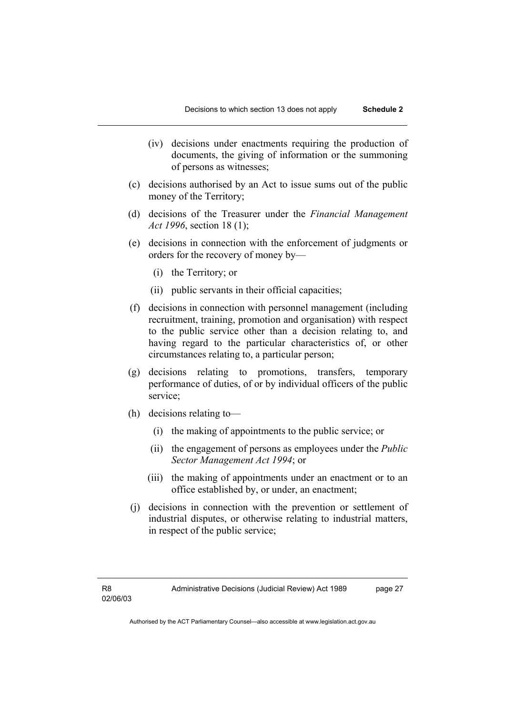- (iv) decisions under enactments requiring the production of documents, the giving of information or the summoning of persons as witnesses;
- (c) decisions authorised by an Act to issue sums out of the public money of the Territory;
- (d) decisions of the Treasurer under the *Financial Management Act 1996*, section 18 (1);
- (e) decisions in connection with the enforcement of judgments or orders for the recovery of money by—
	- (i) the Territory; or
	- (ii) public servants in their official capacities;
- (f) decisions in connection with personnel management (including recruitment, training, promotion and organisation) with respect to the public service other than a decision relating to, and having regard to the particular characteristics of, or other circumstances relating to, a particular person;
- (g) decisions relating to promotions, transfers, temporary performance of duties, of or by individual officers of the public service;
- (h) decisions relating to—
	- (i) the making of appointments to the public service; or
	- (ii) the engagement of persons as employees under the *Public Sector Management Act 1994*; or
	- (iii) the making of appointments under an enactment or to an office established by, or under, an enactment;
- (j) decisions in connection with the prevention or settlement of industrial disputes, or otherwise relating to industrial matters, in respect of the public service;

Administrative Decisions (Judicial Review) Act 1989 page 27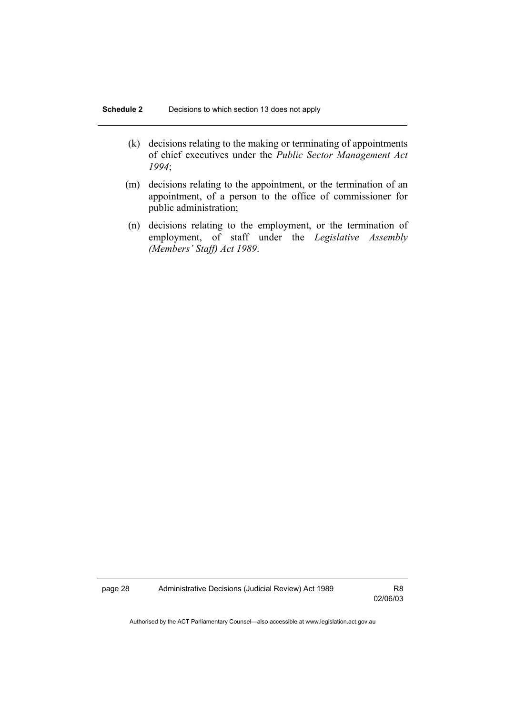- (k) decisions relating to the making or terminating of appointments of chief executives under the *Public Sector Management Act 1994*;
- (m) decisions relating to the appointment, or the termination of an appointment, of a person to the office of commissioner for public administration;
- (n) decisions relating to the employment, or the termination of employment, of staff under the *Legislative Assembly (Members' Staff) Act 1989*.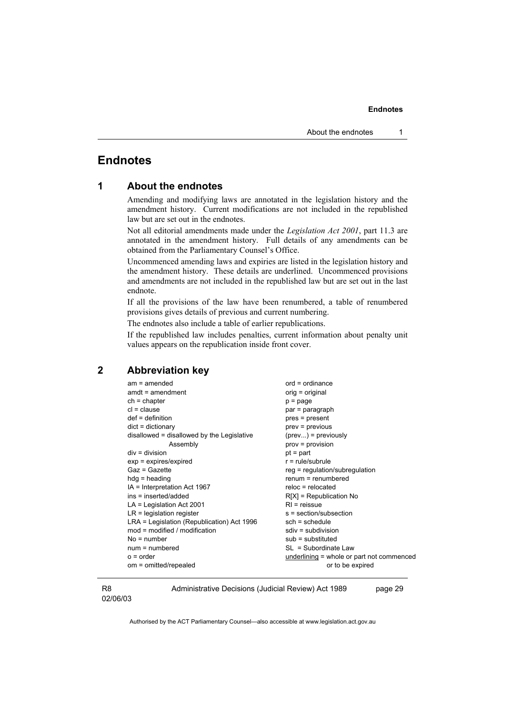# **Endnotes**

# **1 About the endnotes**

Amending and modifying laws are annotated in the legislation history and the amendment history. Current modifications are not included in the republished law but are set out in the endnotes.

Not all editorial amendments made under the *Legislation Act 2001*, part 11.3 are annotated in the amendment history. Full details of any amendments can be obtained from the Parliamentary Counsel's Office.

Uncommenced amending laws and expiries are listed in the legislation history and the amendment history. These details are underlined. Uncommenced provisions and amendments are not included in the republished law but are set out in the last endnote.

If all the provisions of the law have been renumbered, a table of renumbered provisions gives details of previous and current numbering.

The endnotes also include a table of earlier republications.

If the republished law includes penalties, current information about penalty unit values appears on the republication inside front cover.

#### **2 Abbreviation key**

| $am = amended$                             | $ord = ordinance$                         |
|--------------------------------------------|-------------------------------------------|
| $amdt = amendment$                         | orig = original                           |
| $ch = chapter$                             | $p = page$                                |
| $cl = clause$                              | par = paragraph                           |
| $def = definition$                         | pres = present                            |
| $dict = dictionary$                        | $prev = previous$                         |
| disallowed = disallowed by the Legislative | $(\text{prev})$ = previously              |
| Assembly                                   | $prov = provision$                        |
| $div = division$                           | $pt = part$                               |
| $exp = expires/expired$                    | $r = rule/subrule$                        |
| $Gaz = Gazette$                            | $reg = regulation/subregulation$          |
| $hdg =$ heading                            | $renum = renumbered$                      |
| IA = Interpretation Act 1967               | $reloc = relocated$                       |
| ins = inserted/added                       | $R[X]$ = Republication No                 |
| $LA =$ Legislation Act 2001                | $RI = reissue$                            |
| $LR =$ legislation register                | s = section/subsection                    |
| LRA = Legislation (Republication) Act 1996 | $sch = schedule$                          |
| $mod = modified / modified$                | $sdiv = subdivision$                      |
| $No = number$                              | $sub =$ substituted                       |
| $num = numbered$                           | SL = Subordinate Law                      |
| $o = order$                                | underlining = whole or part not commenced |
| om = omitted/repealed                      | or to be expired                          |
|                                            |                                           |

#### R8 02/06/03

Administrative Decisions (Judicial Review) Act 1989 page 29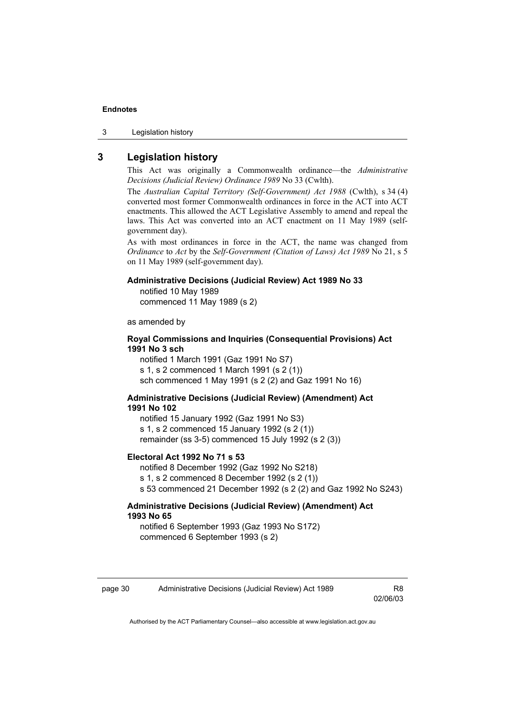3 Legislation history

# **3 Legislation history**

This Act was originally a Commonwealth ordinance—the *Administrative Decisions (Judicial Review) Ordinance 1989* No 33 (Cwlth).

The *Australian Capital Territory (Self-Government) Act 1988* (Cwlth), s 34 (4) converted most former Commonwealth ordinances in force in the ACT into ACT enactments. This allowed the ACT Legislative Assembly to amend and repeal the laws. This Act was converted into an ACT enactment on 11 May 1989 (selfgovernment day).

As with most ordinances in force in the ACT, the name was changed from *Ordinance* to *Act* by the *Self-Government (Citation of Laws) Act 1989* No 21, s 5 on 11 May 1989 (self-government day).

#### **Administrative Decisions (Judicial Review) Act 1989 No 33**

notified 10 May 1989 commenced 11 May 1989 (s 2)

as amended by

#### **Royal Commissions and Inquiries (Consequential Provisions) Act 1991 No 3 sch**

notified 1 March 1991 (Gaz 1991 No S7) s 1, s 2 commenced 1 March 1991 (s 2 (1)) sch commenced 1 May 1991 (s 2 (2) and Gaz 1991 No 16)

#### **Administrative Decisions (Judicial Review) (Amendment) Act 1991 No 102**

notified 15 January 1992 (Gaz 1991 No S3) s 1, s 2 commenced 15 January 1992 (s 2 (1)) remainder (ss 3-5) commenced 15 July 1992 (s 2 (3))

#### **Electoral Act 1992 No 71 s 53**

notified 8 December 1992 (Gaz 1992 No S218) s 1, s 2 commenced 8 December 1992 (s 2 (1)) s 53 commenced 21 December 1992 (s 2 (2) and Gaz 1992 No S243)

#### **Administrative Decisions (Judicial Review) (Amendment) Act 1993 No 65**

notified 6 September 1993 (Gaz 1993 No S172) commenced 6 September 1993 (s 2)

02/06/03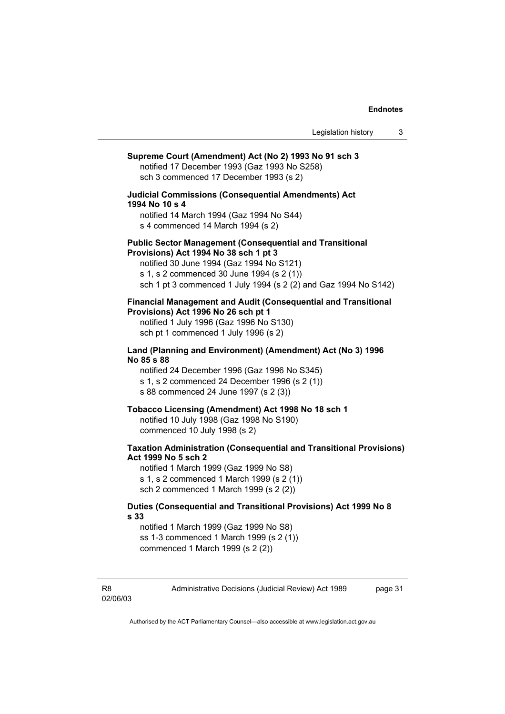| Supreme Court (Amendment) Act (No 2) 1993 No 91 sch 3<br>notified 17 December 1993 (Gaz 1993 No S258)<br>sch 3 commenced 17 December 1993 (s 2)                                                                                                                      |
|----------------------------------------------------------------------------------------------------------------------------------------------------------------------------------------------------------------------------------------------------------------------|
| <b>Judicial Commissions (Consequential Amendments) Act</b><br>1994 No 10 s 4<br>notified 14 March 1994 (Gaz 1994 No S44)<br>s 4 commenced 14 March 1994 (s 2)                                                                                                        |
| <b>Public Sector Management (Consequential and Transitional</b><br>Provisions) Act 1994 No 38 sch 1 pt 3<br>notified 30 June 1994 (Gaz 1994 No S121)<br>s 1, s 2 commenced 30 June 1994 (s 2 (1))<br>sch 1 pt 3 commenced 1 July 1994 (s 2 (2) and Gaz 1994 No S142) |
| <b>Financial Management and Audit (Consequential and Transitional</b><br>Provisions) Act 1996 No 26 sch pt 1<br>notified 1 July 1996 (Gaz 1996 No S130)<br>sch pt 1 commenced 1 July 1996 (s 2)                                                                      |
| Land (Planning and Environment) (Amendment) Act (No 3) 1996<br>No 85 s 88<br>notified 24 December 1996 (Gaz 1996 No S345)<br>s 1, s 2 commenced 24 December 1996 (s 2 (1))<br>s 88 commenced 24 June 1997 (s 2 (3))                                                  |
| Tobacco Licensing (Amendment) Act 1998 No 18 sch 1<br>notified 10 July 1998 (Gaz 1998 No S190)<br>commenced 10 July 1998 (s 2)                                                                                                                                       |
| <b>Taxation Administration (Consequential and Transitional Provisions)</b><br>Act 1999 No 5 sch 2<br>notified 1 March 1999 (Gaz 1999 No S8)<br>s 1, s 2 commenced 1 March 1999 (s 2 (1))<br>sch 2 commenced 1 March 1999 (s 2 (2))                                   |
| Duties (Consequential and Transitional Provisions) Act 1999 No 8<br>s 33.<br>notified 1 March 1999 (Gaz 1999 No S8)<br>ss 1-3 commenced 1 March 1999 (s 2 (1))<br>commenced 1 March 1999 (s 2 (2))                                                                   |
|                                                                                                                                                                                                                                                                      |
|                                                                                                                                                                                                                                                                      |

R8 02/06/03 Administrative Decisions (Judicial Review) Act 1989 page 31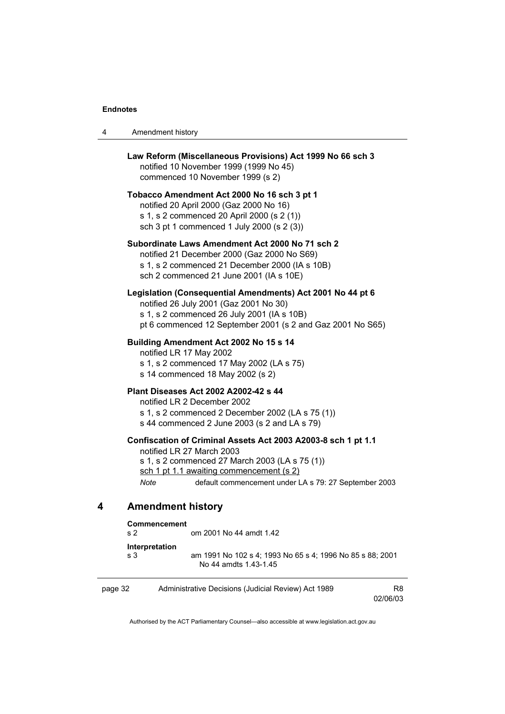| Amendment history<br>4 |  |
|------------------------|--|
|------------------------|--|

|                          | notified 10 November 1999 (1999 No 45)<br>commenced 10 November 1999 (s 2)                                                                                                         | Law Reform (Miscellaneous Provisions) Act 1999 No 66 sch 3                                                               |  |
|--------------------------|------------------------------------------------------------------------------------------------------------------------------------------------------------------------------------|--------------------------------------------------------------------------------------------------------------------------|--|
|                          | Tobacco Amendment Act 2000 No 16 sch 3 pt 1<br>notified 20 April 2000 (Gaz 2000 No 16)<br>s 1, s 2 commenced 20 April 2000 (s 2 (1))<br>sch 3 pt 1 commenced 1 July 2000 (s 2 (3)) |                                                                                                                          |  |
|                          | notified 21 December 2000 (Gaz 2000 No S69)<br>s 1, s 2 commenced 21 December 2000 (IA s 10B)<br>sch 2 commenced 21 June 2001 (IA s 10E)                                           | Subordinate Laws Amendment Act 2000 No 71 sch 2                                                                          |  |
|                          | notified 26 July 2001 (Gaz 2001 No 30)<br>s 1, s 2 commenced 26 July 2001 (IA s 10B)                                                                                               | Legislation (Consequential Amendments) Act 2001 No 44 pt 6<br>pt 6 commenced 12 September 2001 (s 2 and Gaz 2001 No S65) |  |
| notified LR 17 May 2002  | Building Amendment Act 2002 No 15 s 14<br>s 1, s 2 commenced 17 May 2002 (LA s 75)<br>s 14 commenced 18 May 2002 (s 2)                                                             |                                                                                                                          |  |
|                          | <b>Plant Diseases Act 2002 A2002-42 s 44</b><br>notified LR 2 December 2002<br>s 44 commenced 2 June 2003 (s 2 and LA s 79)                                                        | s 1, s 2 commenced 2 December 2002 (LA s 75 (1))                                                                         |  |
| Note                     | notified LR 27 March 2003<br>s 1, s 2 commenced 27 March 2003 (LA s 75 (1))<br>sch 1 pt 1.1 awaiting commencement (s 2)                                                            | Confiscation of Criminal Assets Act 2003 A2003-8 sch 1 pt 1.1<br>default commencement under LA s 79: 27 September 2003   |  |
| <b>Amendment history</b> |                                                                                                                                                                                    |                                                                                                                          |  |
| Commoncomont             |                                                                                                                                                                                    |                                                                                                                          |  |

| Commencement<br>s <sub>2</sub> | om 2001 No 44 amdt 1.42                                                            |
|--------------------------------|------------------------------------------------------------------------------------|
| Interpretation<br>s 3          | am 1991 No 102 s 4: 1993 No 65 s 4: 1996 No 85 s 88: 2001<br>No 44 amdts 1.43-1.45 |

| page 32 | Administrative Decisions (Judicial Review) Act 1989 | R8       |
|---------|-----------------------------------------------------|----------|
|         |                                                     | 02/06/03 |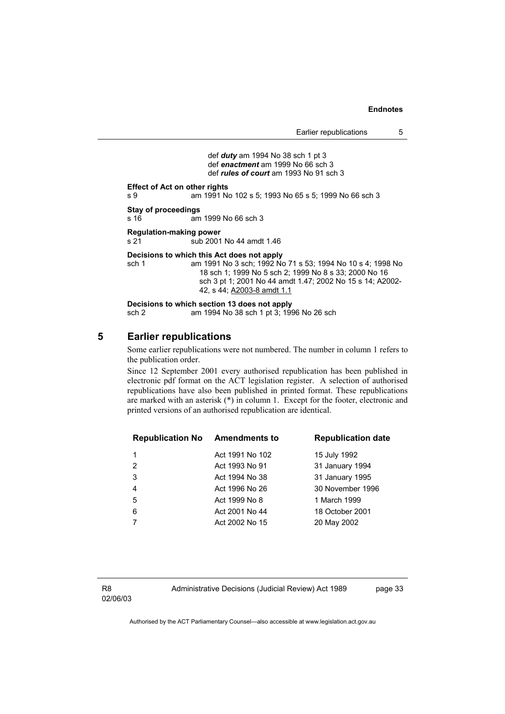def *duty* am 1994 No 38 sch 1 pt 3 def *enactment* am 1999 No 66 sch 3 def *rules of court* am 1993 No 91 sch 3

**Effect of Act on other rights** 

s 9 am 1991 No 102 s 5; 1993 No 65 s 5; 1999 No 66 sch 3

**Stay of proceedings** 

s 16 am 1999 No 66 sch 3

#### **Regulation-making power**

s 21 sub 2001 No 44 amdt 1.46

#### **Decisions to which this Act does not apply**

sch 1 am 1991 No 3 sch; 1992 No 71 s 53; 1994 No 10 s 4; 1998 No 18 sch 1; 1999 No 5 sch 2; 1999 No 8 s 33; 2000 No 16 sch 3 pt 1; 2001 No 44 amdt 1.47; 2002 No 15 s 14; A2002- 42, s 44; A2003-8 amdt 1.1

**Decisions to which section 13 does not apply**  sch 2 am 1994 No 38 sch 1 pt 3; 1996 No 26 sch

#### **5 Earlier republications**

Some earlier republications were not numbered. The number in column 1 refers to the publication order.

Since 12 September 2001 every authorised republication has been published in electronic pdf format on the ACT legislation register. A selection of authorised republications have also been published in printed format. These republications are marked with an asterisk (\*) in column 1. Except for the footer, electronic and printed versions of an authorised republication are identical.

| <b>Republication No Amendments to</b> |                 | <b>Republication date</b> |
|---------------------------------------|-----------------|---------------------------|
| 1                                     | Act 1991 No 102 | 15 July 1992              |
| 2                                     | Act 1993 No 91  | 31 January 1994           |
| 3                                     | Act 1994 No 38  | 31 January 1995           |
| $\overline{4}$                        | Act 1996 No 26  | 30 November 1996          |
| 5                                     | Act 1999 No 8   | 1 March 1999              |
| 6                                     | Act 2001 No 44  | 18 October 2001           |
|                                       | Act 2002 No 15  | 20 May 2002               |
|                                       |                 |                           |

R8 02/06/03 Administrative Decisions (Judicial Review) Act 1989 page 33